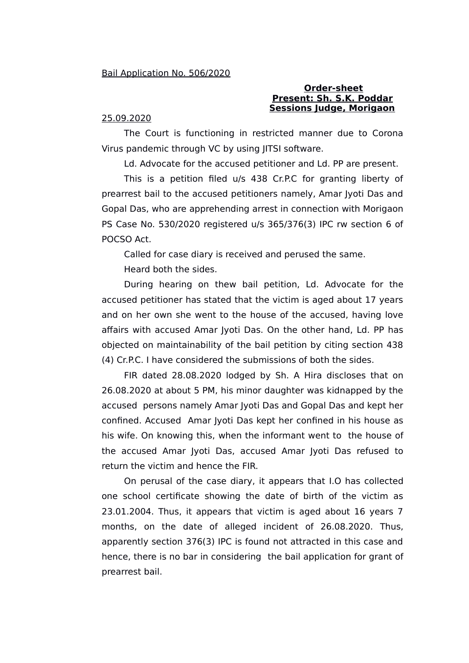## **Order-sheet Present: Sh. S.K. Poddar Sessions Judge, Morigaon**

## 25.09.2020

The Court is functioning in restricted manner due to Corona Virus pandemic through VC by using JITSI software.

Ld. Advocate for the accused petitioner and Ld. PP are present.

This is a petition filed u/s 438 Cr.P.C for granting liberty of prearrest bail to the accused petitioners namely, Amar Jyoti Das and Gopal Das, who are apprehending arrest in connection with Morigaon PS Case No. 530/2020 registered u/s 365/376(3) IPC rw section 6 of POCSO Act.

Called for case diary is received and perused the same.

Heard both the sides.

During hearing on thew bail petition, Ld. Advocate for the accused petitioner has stated that the victim is aged about 17 years and on her own she went to the house of the accused, having love affairs with accused Amar Jyoti Das. On the other hand, Ld. PP has objected on maintainability of the bail petition by citing section 438 (4) Cr.P.C. I have considered the submissions of both the sides.

FIR dated 28.08.2020 lodged by Sh. A Hira discloses that on 26.08.2020 at about 5 PM, his minor daughter was kidnapped by the accused persons namely Amar Jyoti Das and Gopal Das and kept her confined. Accused Amar Jyoti Das kept her confined in his house as his wife. On knowing this, when the informant went to the house of the accused Amar Jyoti Das, accused Amar Jyoti Das refused to return the victim and hence the FIR.

On perusal of the case diary, it appears that I.O has collected one school certificate showing the date of birth of the victim as 23.01.2004. Thus, it appears that victim is aged about 16 years 7 months, on the date of alleged incident of 26.08.2020. Thus, apparently section 376(3) IPC is found not attracted in this case and hence, there is no bar in considering the bail application for grant of prearrest bail.